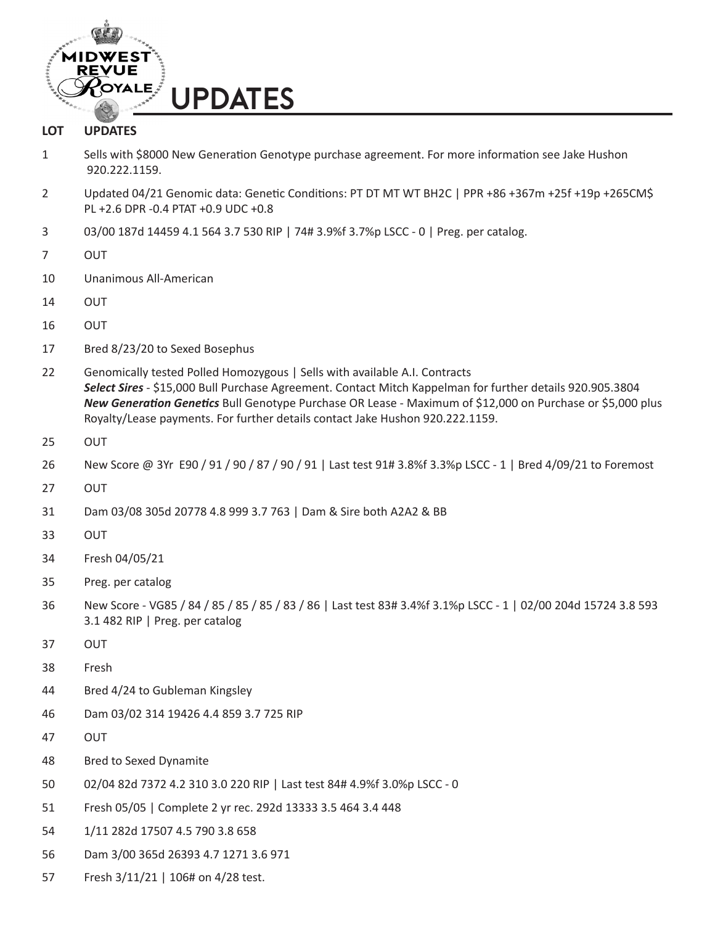

## **LOT UPDATES**

- 1 Sells with \$8000 New Generation Genotype purchase agreement. For more information see Jake Hushon 920.222.1159.
- 2 Updated 04/21 Genomic data: Genetic Conditions: PT DT MT WT BH2C | PPR +86 +367m +25f +19p +265CM\$ PL +2.6 DPR -0.4 PTAT +0.9 UDC +0.8
- 3 03/00 187d 14459 4.1 564 3.7 530 RIP | 74# 3.9%f 3.7%p LSCC 0 | Preg. per catalog.
- 7 OUT
- 10 Unanimous All-American
- 14 OUT
- 16 OUT
- 17 Bred 8/23/20 to Sexed Bosephus
- 22 Genomically tested Polled Homozygous | Sells with available A.I. Contracts *Select Sires* - \$15,000 Bull Purchase Agreement. Contact Mitch Kappelman for further details 920.905.3804 *New Generation Genetics* Bull Genotype Purchase OR Lease - Maximum of \$12,000 on Purchase or \$5,000 plus Royalty/Lease payments. For further details contact Jake Hushon 920.222.1159.
- 25 OUT
- 26 New Score @ 3Yr E90 / 91 / 90 / 87 / 90 / 91 | Last test 91# 3.8%f 3.3%p LSCC 1 | Bred 4/09/21 to Foremost
- 27 OUT
- 31 Dam 03/08 305d 20778 4.8 999 3.7 763 | Dam & Sire both A2A2 & BB
- 33 OUT
- 34 Fresh 04/05/21
- 35 Preg. per catalog
- 36 New Score VG85 / 84 / 85 / 85 / 85 / 83 / 86 | Last test 83# 3.4%f 3.1%p LSCC 1 | 02/00 204d 15724 3.8 593 3.1 482 RIP | Preg. per catalog
- 37 OUT
- 38 Fresh
- 44 Bred 4/24 to Gubleman Kingsley
- 46 Dam 03/02 314 19426 4.4 859 3.7 725 RIP
- 47 OUT
- 48 Bred to Sexed Dynamite
- 50 02/04 82d 7372 4.2 310 3.0 220 RIP | Last test 84# 4.9%f 3.0%p LSCC 0
- 51 Fresh 05/05 | Complete 2 yr rec. 292d 13333 3.5 464 3.4 448
- 54 1/11 282d 17507 4.5 790 3.8 658
- 56 Dam 3/00 365d 26393 4.7 1271 3.6 971
- 57 Fresh 3/11/21 | 106# on 4/28 test.